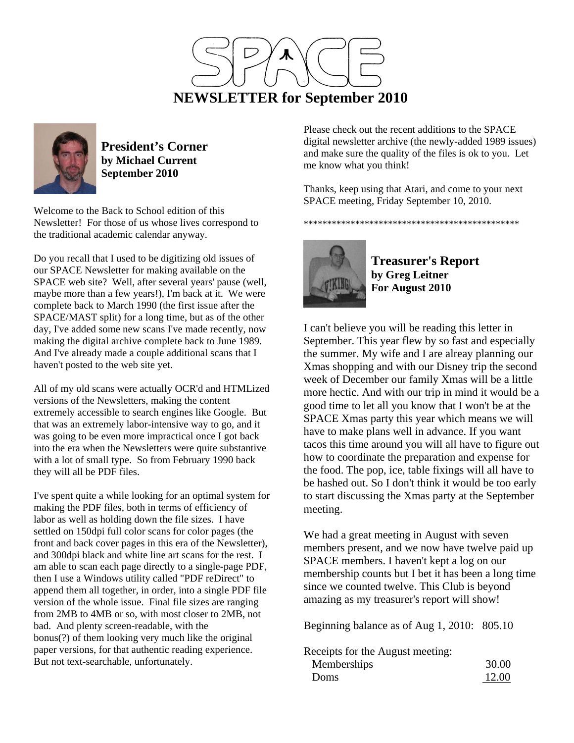



**President's Corner by Michael Current September 2010**

Welcome to the Back to School edition of this Newsletter! For those of us whose lives correspond to the traditional academic calendar anyway.

Do you recall that I used to be digitizing old issues of our SPACE Newsletter for making available on the SPACE web site? Well, after several years' pause (well, maybe more than a few years!), I'm back at it. We were complete back to March 1990 (the first issue after the SPACE/MAST split) for a long time, but as of the other day, I've added some new scans I've made recently, now making the digital archive complete back to June 1989. And I've already made a couple additional scans that I haven't posted to the web site yet.

All of my old scans were actually OCR'd and HTMLized versions of the Newsletters, making the content extremely accessible to search engines like Google. But that was an extremely labor-intensive way to go, and it was going to be even more impractical once I got back into the era when the Newsletters were quite substantive with a lot of small type. So from February 1990 back they will all be PDF files.

I've spent quite a while looking for an optimal system for making the PDF files, both in terms of efficiency of labor as well as holding down the file sizes. I have settled on 150dpi full color scans for color pages (the front and back cover pages in this era of the Newsletter), and 300dpi black and white line art scans for the rest. I am able to scan each page directly to a single-page PDF, then I use a Windows utility called "PDF reDirect" to append them all together, in order, into a single PDF file version of the whole issue. Final file sizes are ranging from 2MB to 4MB or so, with most closer to 2MB, not bad. And plenty screen-readable, with the bonus(?) of them looking very much like the original paper versions, for that authentic reading experience. But not text-searchable, unfortunately.

Please check out the recent additions to the SPACE digital newsletter archive (the newly-added 1989 issues) and make sure the quality of the files is ok to you. Let me know what you think!

Thanks, keep using that Atari, and come to your next SPACE meeting, Friday September 10, 2010.

\*\*\*\*\*\*\*\*\*\*\*\*\*\*\*\*\*\*\*\*\*\*\*\*\*\*\*\*\*\*\*\*\*\*\*\*\*\*\*\*\*\*\*\*\*\*



**Treasurer's Report by Greg Leitner For August 2010** 

I can't believe you will be reading this letter in September. This year flew by so fast and especially the summer. My wife and I are alreay planning our Xmas shopping and with our Disney trip the second week of December our family Xmas will be a little more hectic. And with our trip in mind it would be a good time to let all you know that I won't be at the SPACE Xmas party this year which means we will have to make plans well in advance. If you want tacos this time around you will all have to figure out how to coordinate the preparation and expense for the food. The pop, ice, table fixings will all have to be hashed out. So I don't think it would be too early to start discussing the Xmas party at the September meeting.

We had a great meeting in August with seven members present, and we now have twelve paid up SPACE members. I haven't kept a log on our membership counts but I bet it has been a long time since we counted twelve. This Club is beyond amazing as my treasurer's report will show!

Beginning balance as of Aug 1, 2010: 805.10

Receipts for the August meeting:

| Memberships | 30.00 |
|-------------|-------|
| Doms        | 12.00 |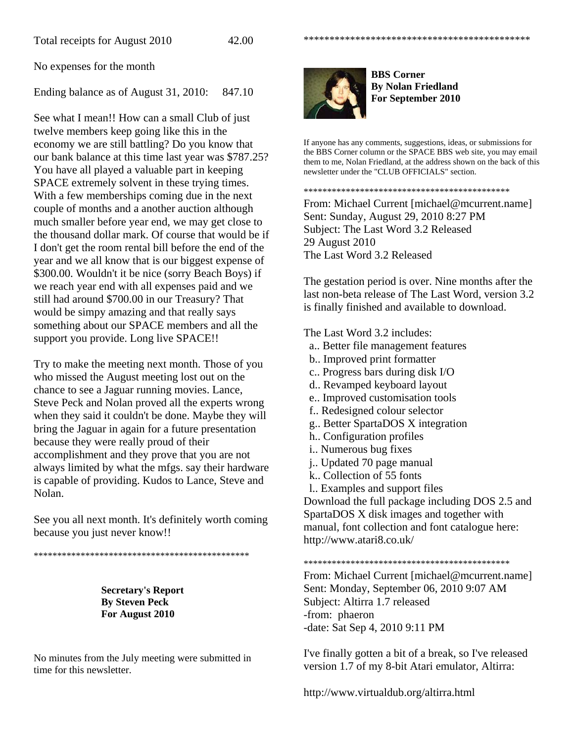No expenses for the month

Ending balance as of August 31, 2010: 847.10

See what I mean!! How can a small Club of just twelve members keep going like this in the economy we are still battling? Do you know that our bank balance at this time last year was \$787.25? You have all played a valuable part in keeping SPACE extremely solvent in these trying times. With a few memberships coming due in the next couple of months and a another auction although much smaller before year end, we may get close to the thousand dollar mark. Of course that would be if I don't get the room rental bill before the end of the year and we all know that is our biggest expense of \$300.00. Wouldn't it be nice (sorry Beach Boys) if we reach year end with all expenses paid and we still had around \$700.00 in our Treasury? That would be simpy amazing and that really says something about our SPACE members and all the support you provide. Long live SPACE!!

Try to make the meeting next month. Those of you who missed the August meeting lost out on the chance to see a Jaguar running movies. Lance, Steve Peck and Nolan proved all the experts wrong when they said it couldn't be done. Maybe they will bring the Jaguar in again for a future presentation because they were really proud of their accomplishment and they prove that you are not always limited by what the mfgs. say their hardware is capable of providing. Kudos to Lance, Steve and Nolan.

See you all next month. It's definitely worth coming because you just never know!!

\*\*\*\*\*\*\*\*\*\*\*\*\*\*\*\*\*\*\*\*\*\*\*\*\*\*\*\*\*\*\*\*\*\*\*\*\*\*\*\*\*\*\*\*\*\*

**Secretary's Report By Steven Peck For August 2010** 

No minutes from the July meeting were submitted in time for this newsletter.



**BBS Corner By Nolan Friedland For September 2010** 

\*\*\*\*\*\*\*\*\*\*\*\*\*\*\*\*\*\*\*\*\*\*\*\*\*\*\*\*\*\*\*\*\*\*\*\*\*\*\*\*\*\*\*\*

If anyone has any comments, suggestions, ideas, or submissions for the BBS Corner column or the SPACE BBS web site, you may email them to me, Nolan Friedland, at the address shown on the back of this newsletter under the "CLUB OFFICIALS" section.

\*\*\*\*\*\*\*\*\*\*\*\*\*\*\*\*\*\*\*\*\*\*\*\*\*\*\*\*\*\*\*\*\*\*\*\*\*\*\*\*\*\*\*\*

From: Michael Current [michael@mcurrent.name] Sent: Sunday, August 29, 2010 8:27 PM Subject: The Last Word 3.2 Released 29 August 2010 The Last Word 3.2 Released

The gestation period is over. Nine months after the last non-beta release of The Last Word, version 3.2 is finally finished and available to download.

The Last Word 3.2 includes:

- a.. Better file management features
- b.. Improved print formatter
- c.. Progress bars during disk I/O
- d.. Revamped keyboard layout
- e.. Improved customisation tools
- f.. Redesigned colour selector
- g.. Better SpartaDOS X integration
- h.. Configuration profiles
- i.. Numerous bug fixes
- j.. Updated 70 page manual
- k.. Collection of 55 fonts
- l.. Examples and support files

Download the full package including DOS 2.5 and SpartaDOS X disk images and together with manual, font collection and font catalogue here: http://www.atari8.co.uk/

\*\*\*\*\*\*\*\*\*\*\*\*\*\*\*\*\*\*\*\*\*\*\*\*\*\*\*\*\*\*\*\*\*\*\*\*\*\*\*\*\*\*\*\*

From: Michael Current [michael@mcurrent.name] Sent: Monday, September 06, 2010 9:07 AM Subject: Altirra 1.7 released -from: phaeron -date: Sat Sep 4, 2010 9:11 PM

I've finally gotten a bit of a break, so I've released version 1.7 of my 8-bit Atari emulator, Altirra:

http://www.virtualdub.org/altirra.html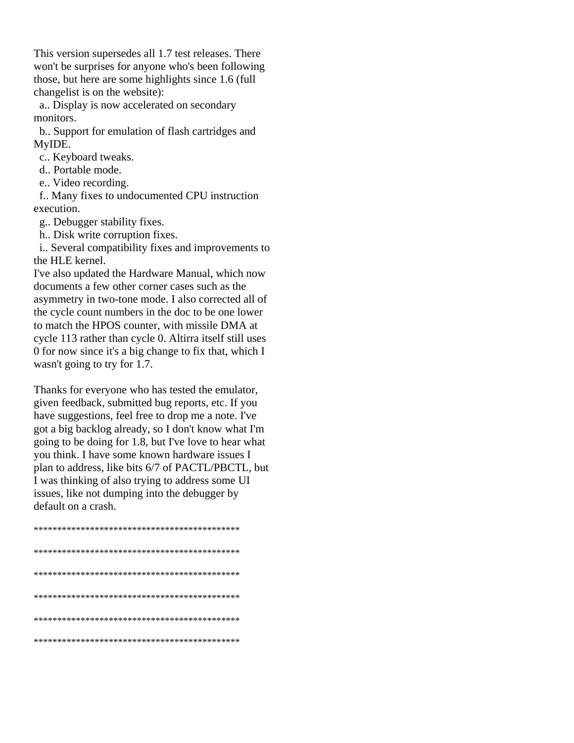This version supersedes all 1.7 test releases. There won't be surprises for anyone who's been following those, but here are some highlights since 1.6 (full changelist is on the website):

a.. Display is now accelerated on secondary monitors.

b. Support for emulation of flash cartridges and MyIDE.

c.. Keyboard tweaks.

d.. Portable mode.

e.. Video recording.

f.. Many fixes to undocumented CPU instruction execution.

g.. Debugger stability fixes.

h.. Disk write corruption fixes.

i.. Several compatibility fixes and improvements to the HLE kernel.

I've also updated the Hardware Manual, which now documents a few other corner cases such as the asymmetry in two-tone mode. I also corrected all of the cycle count numbers in the doc to be one lower to match the HPOS counter, with missile DMA at cycle 113 rather than cycle 0. Altirra itself still uses 0 for now since it's a big change to fix that, which I wasn't going to try for 1.7.

Thanks for everyone who has tested the emulator, given feedback, submitted bug reports, etc. If you have suggestions, feel free to drop me a note. I've got a big backlog already, so I don't know what I'm going to be doing for 1.8, but I've love to hear what you think. I have some known hardware issues I plan to address, like bits 6/7 of PACTL/PBCTL, but I was thinking of also trying to address some UI issues, like not dumping into the debugger by default on a crash.